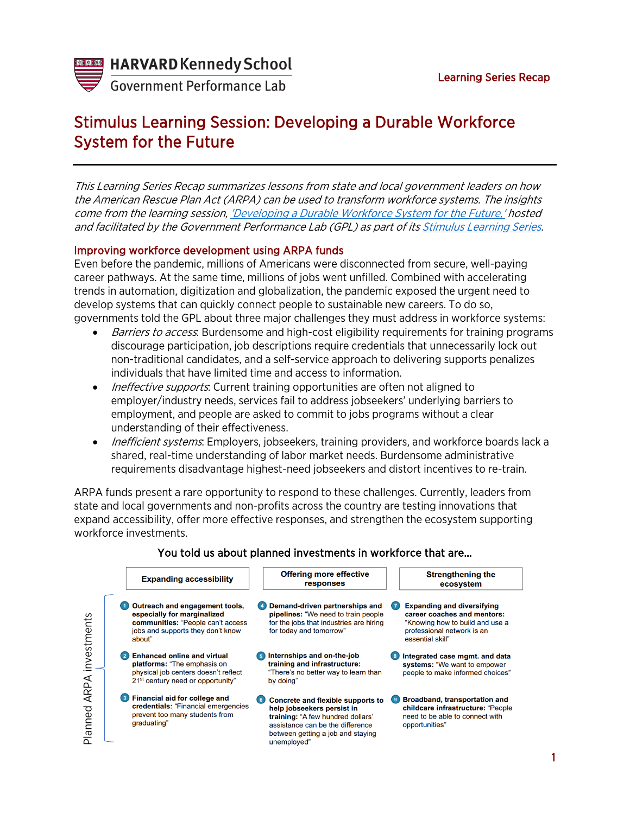HARVARD Kennedy School



**Government Performance Lab** 

# Stimulus Learning Session: Developing a Durable Workforce System for the Future

This Learning Series Recap summarizes lessons from state and local government leaders on how the American Rescue Plan Act (ARPA) can be used to transform workforce systems. The insights come from the learning session, ['Developing a Durable Workforce System for the Future,'](https://harvard.zoom.us/rec/play/7cHhLqGTOXV9phvCXooHYslqYoZD1SSa8akJD18Yj4aDIH2jutdNhHVvhbD169g9lwbIB39UF1qq3pCK.RlcJzg9yxT2462e6?continueMode=true&_x_zm_rtaid=2g2IQCqTRhq5-9GAKyYwxg.1630318690759.f760ce9b49960b8a18ce0efff3f5bc99&_x_zm_rhtaid=812) hosted and facilitated by the Government Performance Lab (GPL) as part of its [Stimulus Learning Series.](https://govlab.hks.harvard.edu/stimulus-learning-series)

## Improving workforce development using ARPA funds

Even before the pandemic, millions of Americans were disconnected from secure, well-paying career pathways. At the same time, millions of jobs went unfilled. Combined with accelerating trends in automation, digitization and globalization, the pandemic exposed the urgent need to develop systems that can quickly connect people to sustainable new careers. To do so, governments told the GPL about three major challenges they must address in workforce systems:

- **Barriers to access.** Burdensome and high-cost eligibility requirements for training programs discourage participation, job descriptions require credentials that unnecessarily lock out non-traditional candidates, and a self-service approach to delivering supports penalizes individuals that have limited time and access to information.
- *Ineffective supports*: Current training opportunities are often not aligned to employer/industry needs, services fail to address jobseekers' underlying barriers to employment, and people are asked to commit to jobs programs without a clear understanding of their effectiveness.
- *Inefficient systems*: Employers, jobseekers, training providers, and workforce boards lack a shared, real-time understanding of labor market needs. Burdensome administrative requirements disadvantage highest-need jobseekers and distort incentives to re-train.

ARPA funds present a rare opportunity to respond to these challenges. Currently, leaders from state and local governments and non-profits across the country are testing innovations that expand accessibility, offer more effective responses, and strengthen the ecosystem supporting workforce investments.



## You told us about planned investments in workforce that are…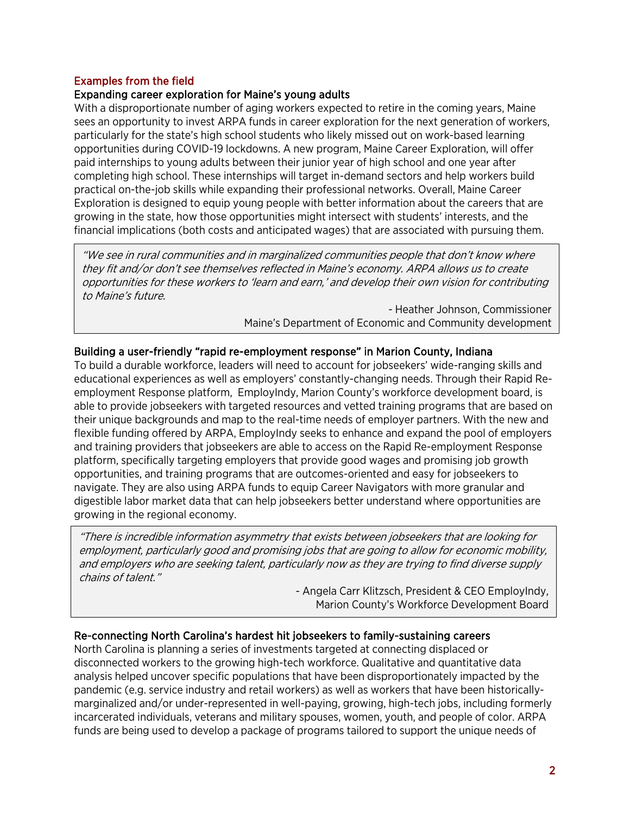## Examples from the field

### Expanding career exploration for Maine's young adults

With a disproportionate number of aging workers expected to retire in the coming years, Maine sees an opportunity to invest ARPA funds in career exploration for the next generation of workers, particularly for the state's high school students who likely missed out on work-based learning opportunities during COVID-19 lockdowns. A new program, Maine Career Exploration, will offer paid internships to young adults between their junior year of high school and one year after completing high school. These internships will target in-demand sectors and help workers build practical on-the-job skills while expanding their professional networks. Overall, Maine Career Exploration is designed to equip young people with better information about the careers that are growing in the state, how those opportunities might intersect with students' interests, and the financial implications (both costs and anticipated wages) that are associated with pursuing them.

"We see in rural communities and in marginalized communities people that don't know where they fit and/or don't see themselves reflected in Maine's economy. ARPA allows us to create opportunities for these workers to 'learn and earn,' and develop their own vision for contributing to Maine's future.

> - Heather Johnson, Commissioner Maine's Department of Economic and Community development

### Building a user-friendly "rapid re-employment response" in Marion County, Indiana

To build a durable workforce, leaders will need to account for jobseekers' wide-ranging skills and educational experiences as well as employers' constantly-changing needs. Through their Rapid Reemployment Response platform, EmployIndy, Marion County's workforce development board, is able to provide jobseekers with targeted resources and vetted training programs that are based on their unique backgrounds and map to the real-time needs of employer partners. With the new and flexible funding offered by ARPA, EmployIndy seeks to enhance and expand the pool of employers and training providers that jobseekers are able to access on the Rapid Re-employment Response platform, specifically targeting employers that provide good wages and promising job growth opportunities, and training programs that are outcomes-oriented and easy for jobseekers to navigate. They are also using ARPA funds to equip Career Navigators with more granular and digestible labor market data that can help jobseekers better understand where opportunities are growing in the regional economy.

"There is incredible information asymmetry that exists between jobseekers that are looking for employment, particularly good and promising jobs that are going to allow for economic mobility, and employers who are seeking talent, particularly now as they are trying to find diverse supply chains of talent."

> - Angela Carr Klitzsch, President & CEO EmployIndy, Marion County's Workforce Development Board

#### Re-connecting North Carolina's hardest hit jobseekers to family-sustaining careers

North Carolina is planning a series of investments targeted at connecting displaced or disconnected workers to the growing high-tech workforce. Qualitative and quantitative data analysis helped uncover specific populations that have been disproportionately impacted by the pandemic (e.g. service industry and retail workers) as well as workers that have been historicallymarginalized and/or under-represented in well-paying, growing, high-tech jobs, including formerly incarcerated individuals, veterans and military spouses, women, youth, and people of color. ARPA funds are being used to develop a package of programs tailored to support the unique needs of